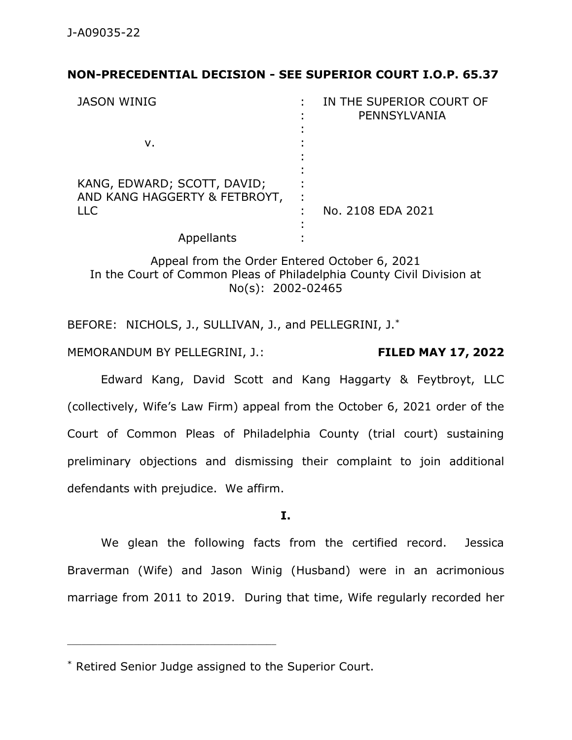# **NON-PRECEDENTIAL DECISION - SEE SUPERIOR COURT I.O.P. 65.37**

| <b>JASON WINIG</b>                                                         | IN THE SUPERIOR COURT OF<br>PENNSYLVANIA |
|----------------------------------------------------------------------------|------------------------------------------|
| v.                                                                         |                                          |
| KANG, EDWARD; SCOTT, DAVID;<br>AND KANG HAGGERTY & FETBROYT,<br><b>LLC</b> | No. 2108 EDA 2021                        |
| Appellants                                                                 |                                          |

Appeal from the Order Entered October 6, 2021 In the Court of Common Pleas of Philadelphia County Civil Division at No(s): 2002-02465

BEFORE: NICHOLS, J., SULLIVAN, J., and PELLEGRINI, J.\*

MEMORANDUM BY PELLEGRINI, J.: **FILED MAY 17, 2022**

Edward Kang, David Scott and Kang Haggarty & Feytbroyt, LLC (collectively, Wife's Law Firm) appeal from the October 6, 2021 order of the Court of Common Pleas of Philadelphia County (trial court) sustaining preliminary objections and dismissing their complaint to join additional defendants with prejudice. We affirm.

**I.**

We glean the following facts from the certified record. Jessica Braverman (Wife) and Jason Winig (Husband) were in an acrimonious marriage from 2011 to 2019. During that time, Wife regularly recorded her

<sup>\*</sup> Retired Senior Judge assigned to the Superior Court.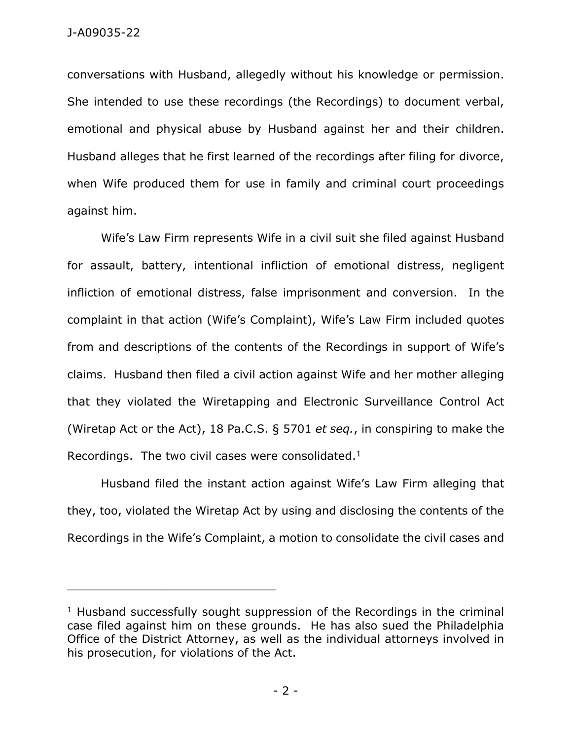conversations with Husband, allegedly without his knowledge or permission. She intended to use these recordings (the Recordings) to document verbal, emotional and physical abuse by Husband against her and their children. Husband alleges that he first learned of the recordings after filing for divorce, when Wife produced them for use in family and criminal court proceedings against him.

Wife's Law Firm represents Wife in a civil suit she filed against Husband for assault, battery, intentional infliction of emotional distress, negligent infliction of emotional distress, false imprisonment and conversion. In the complaint in that action (Wife's Complaint), Wife's Law Firm included quotes from and descriptions of the contents of the Recordings in support of Wife's claims. Husband then filed a civil action against Wife and her mother alleging that they violated the Wiretapping and Electronic Surveillance Control Act (Wiretap Act or the Act), 18 Pa.C.S. § 5701 *et seq.*, in conspiring to make the Recordings. The two civil cases were consolidated.<sup>1</sup>

Husband filed the instant action against Wife's Law Firm alleging that they, too, violated the Wiretap Act by using and disclosing the contents of the Recordings in the Wife's Complaint, a motion to consolidate the civil cases and

 $1$  Husband successfully sought suppression of the Recordings in the criminal case filed against him on these grounds. He has also sued the Philadelphia Office of the District Attorney, as well as the individual attorneys involved in his prosecution, for violations of the Act.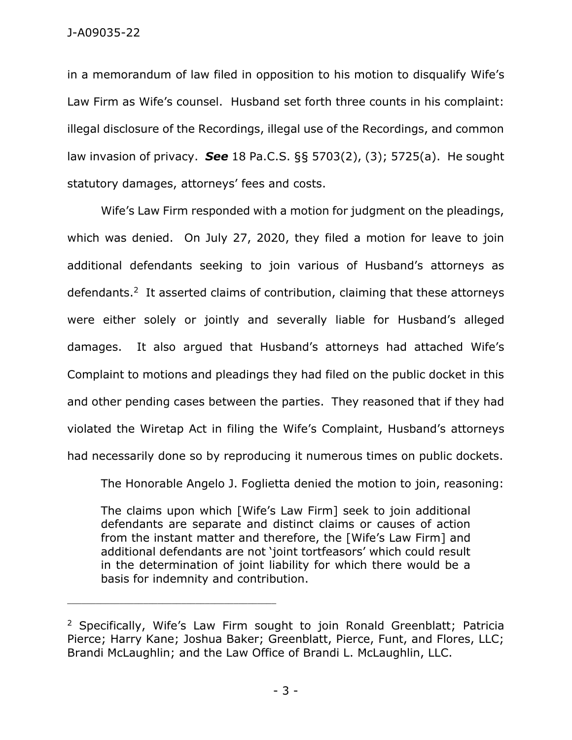in a memorandum of law filed in opposition to his motion to disqualify Wife's Law Firm as Wife's counsel. Husband set forth three counts in his complaint: illegal disclosure of the Recordings, illegal use of the Recordings, and common law invasion of privacy. *See* 18 Pa.C.S. §§ 5703(2), (3); 5725(a). He sought statutory damages, attorneys' fees and costs.

Wife's Law Firm responded with a motion for judgment on the pleadings, which was denied. On July 27, 2020, they filed a motion for leave to join additional defendants seeking to join various of Husband's attorneys as defendants.<sup>2</sup> It asserted claims of contribution, claiming that these attorneys were either solely or jointly and severally liable for Husband's alleged damages. It also argued that Husband's attorneys had attached Wife's Complaint to motions and pleadings they had filed on the public docket in this and other pending cases between the parties. They reasoned that if they had violated the Wiretap Act in filing the Wife's Complaint, Husband's attorneys had necessarily done so by reproducing it numerous times on public dockets.

The Honorable Angelo J. Foglietta denied the motion to join, reasoning:

The claims upon which [Wife's Law Firm] seek to join additional defendants are separate and distinct claims or causes of action from the instant matter and therefore, the [Wife's Law Firm] and additional defendants are not 'joint tortfeasors' which could result in the determination of joint liability for which there would be a basis for indemnity and contribution.

<sup>&</sup>lt;sup>2</sup> Specifically, Wife's Law Firm sought to join Ronald Greenblatt; Patricia Pierce; Harry Kane; Joshua Baker; Greenblatt, Pierce, Funt, and Flores, LLC; Brandi McLaughlin; and the Law Office of Brandi L. McLaughlin, LLC.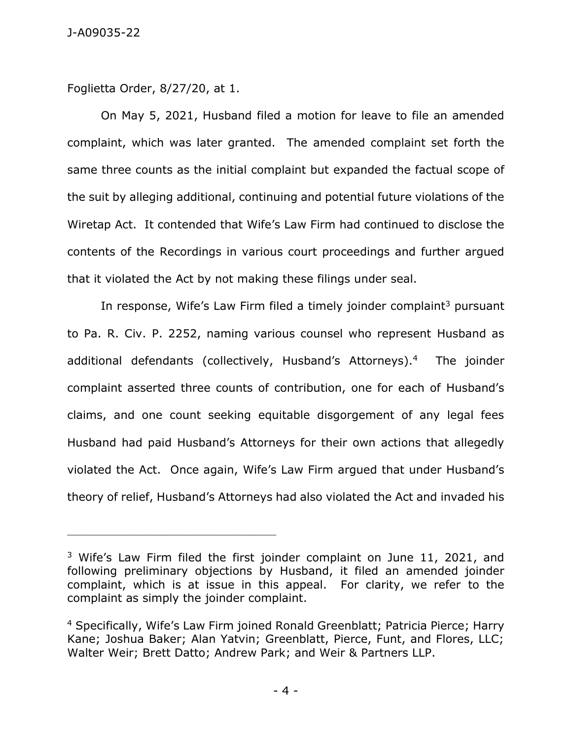Foglietta Order, 8/27/20, at 1.

\_\_\_\_\_\_\_\_\_\_\_\_\_\_\_\_\_\_\_\_\_\_\_\_\_\_\_\_\_\_\_\_\_\_\_\_\_\_\_\_\_\_\_\_

On May 5, 2021, Husband filed a motion for leave to file an amended complaint, which was later granted. The amended complaint set forth the same three counts as the initial complaint but expanded the factual scope of the suit by alleging additional, continuing and potential future violations of the Wiretap Act. It contended that Wife's Law Firm had continued to disclose the contents of the Recordings in various court proceedings and further argued that it violated the Act by not making these filings under seal.

In response, Wife's Law Firm filed a timely joinder complaint<sup>3</sup> pursuant to Pa. R. Civ. P. 2252, naming various counsel who represent Husband as additional defendants (collectively, Husband's Attorneys).<sup>4</sup> The joinder complaint asserted three counts of contribution, one for each of Husband's claims, and one count seeking equitable disgorgement of any legal fees Husband had paid Husband's Attorneys for their own actions that allegedly violated the Act. Once again, Wife's Law Firm argued that under Husband's theory of relief, Husband's Attorneys had also violated the Act and invaded his

<sup>&</sup>lt;sup>3</sup> Wife's Law Firm filed the first joinder complaint on June 11, 2021, and following preliminary objections by Husband, it filed an amended joinder complaint, which is at issue in this appeal. For clarity, we refer to the complaint as simply the joinder complaint.

<sup>4</sup> Specifically, Wife's Law Firm joined Ronald Greenblatt; Patricia Pierce; Harry Kane; Joshua Baker; Alan Yatvin; Greenblatt, Pierce, Funt, and Flores, LLC; Walter Weir; Brett Datto; Andrew Park; and Weir & Partners LLP.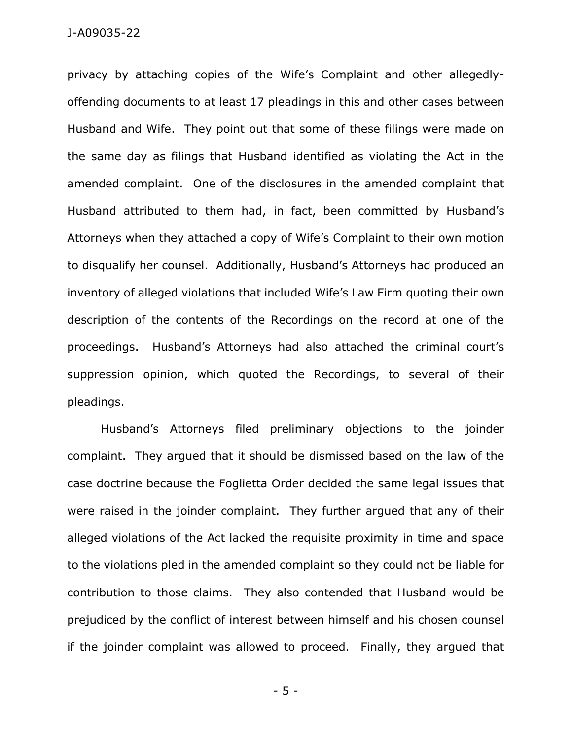privacy by attaching copies of the Wife's Complaint and other allegedlyoffending documents to at least 17 pleadings in this and other cases between Husband and Wife. They point out that some of these filings were made on the same day as filings that Husband identified as violating the Act in the amended complaint. One of the disclosures in the amended complaint that Husband attributed to them had, in fact, been committed by Husband's Attorneys when they attached a copy of Wife's Complaint to their own motion to disqualify her counsel. Additionally, Husband's Attorneys had produced an inventory of alleged violations that included Wife's Law Firm quoting their own description of the contents of the Recordings on the record at one of the proceedings. Husband's Attorneys had also attached the criminal court's suppression opinion, which quoted the Recordings, to several of their pleadings.

Husband's Attorneys filed preliminary objections to the joinder complaint. They argued that it should be dismissed based on the law of the case doctrine because the Foglietta Order decided the same legal issues that were raised in the joinder complaint. They further argued that any of their alleged violations of the Act lacked the requisite proximity in time and space to the violations pled in the amended complaint so they could not be liable for contribution to those claims. They also contended that Husband would be prejudiced by the conflict of interest between himself and his chosen counsel if the joinder complaint was allowed to proceed. Finally, they argued that

- 5 -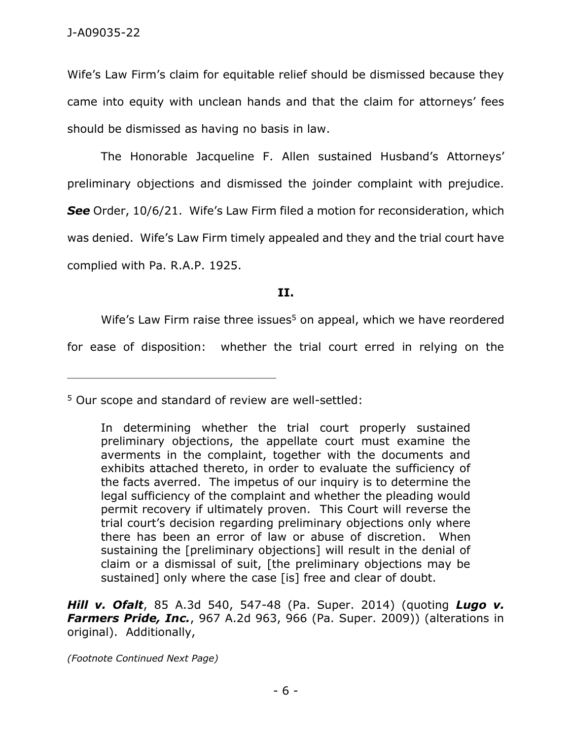Wife's Law Firm's claim for equitable relief should be dismissed because they came into equity with unclean hands and that the claim for attorneys' fees should be dismissed as having no basis in law.

The Honorable Jacqueline F. Allen sustained Husband's Attorneys' preliminary objections and dismissed the joinder complaint with prejudice. *See* Order, 10/6/21. Wife's Law Firm filed a motion for reconsideration, which was denied. Wife's Law Firm timely appealed and they and the trial court have complied with Pa. R.A.P. 1925.

### **II.**

Wife's Law Firm raise three issues $5$  on appeal, which we have reordered

for ease of disposition: whether the trial court erred in relying on the

\_\_\_\_\_\_\_\_\_\_\_\_\_\_\_\_\_\_\_\_\_\_\_\_\_\_\_\_\_\_\_\_\_\_\_\_\_\_\_\_\_\_\_\_

*Hill v. Ofalt*, 85 A.3d 540, 547-48 (Pa. Super. 2014) (quoting *Lugo v. Farmers Pride, Inc.*, 967 A.2d 963, 966 (Pa. Super. 2009)) (alterations in original). Additionally,

*(Footnote Continued Next Page)*

<sup>5</sup> Our scope and standard of review are well-settled:

In determining whether the trial court properly sustained preliminary objections, the appellate court must examine the averments in the complaint, together with the documents and exhibits attached thereto, in order to evaluate the sufficiency of the facts averred. The impetus of our inquiry is to determine the legal sufficiency of the complaint and whether the pleading would permit recovery if ultimately proven. This Court will reverse the trial court's decision regarding preliminary objections only where there has been an error of law or abuse of discretion. When sustaining the [preliminary objections] will result in the denial of claim or a dismissal of suit, [the preliminary objections may be sustained] only where the case [is] free and clear of doubt.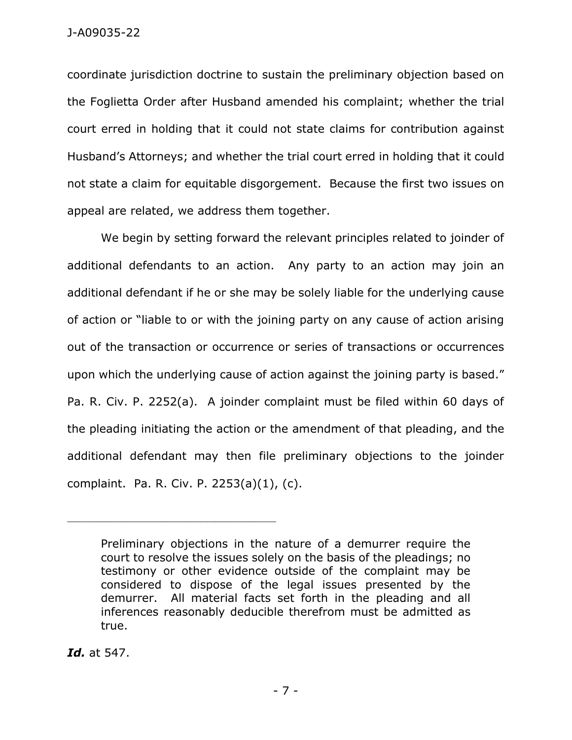coordinate jurisdiction doctrine to sustain the preliminary objection based on the Foglietta Order after Husband amended his complaint; whether the trial court erred in holding that it could not state claims for contribution against Husband's Attorneys; and whether the trial court erred in holding that it could not state a claim for equitable disgorgement. Because the first two issues on appeal are related, we address them together.

We begin by setting forward the relevant principles related to joinder of additional defendants to an action. Any party to an action may join an additional defendant if he or she may be solely liable for the underlying cause of action or "liable to or with the joining party on any cause of action arising out of the transaction or occurrence or series of transactions or occurrences upon which the underlying cause of action against the joining party is based." Pa. R. Civ. P. 2252(a). A joinder complaint must be filed within 60 days of the pleading initiating the action or the amendment of that pleading, and the additional defendant may then file preliminary objections to the joinder complaint. Pa. R. Civ. P. 2253(a)(1), (c).

*Id.* at 547.

Preliminary objections in the nature of a demurrer require the court to resolve the issues solely on the basis of the pleadings; no testimony or other evidence outside of the complaint may be considered to dispose of the legal issues presented by the demurrer. All material facts set forth in the pleading and all inferences reasonably deducible therefrom must be admitted as true.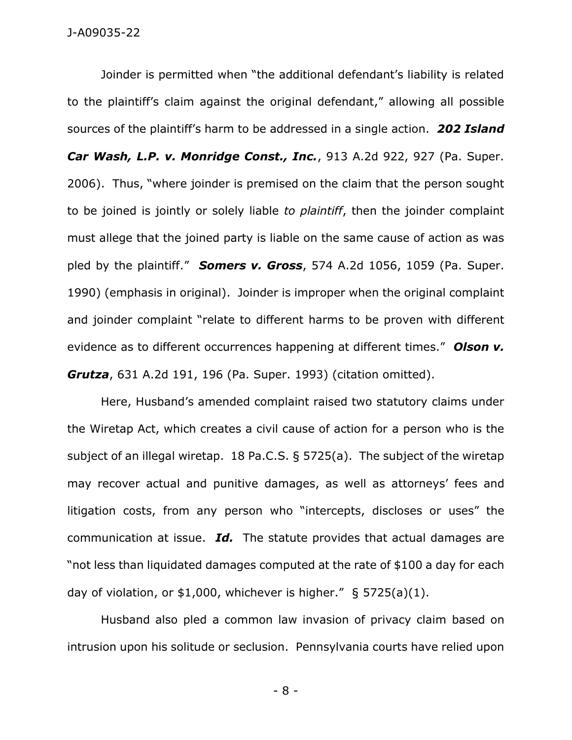Joinder is permitted when "the additional defendant's liability is related to the plaintiff's claim against the original defendant," allowing all possible sources of the plaintiff's harm to be addressed in a single action. *202 Island Car Wash, L.P. v. Monridge Const., Inc.*, 913 A.2d 922, 927 (Pa. Super. 2006). Thus, "where joinder is premised on the claim that the person sought to be joined is jointly or solely liable *to plaintiff*, then the joinder complaint must allege that the joined party is liable on the same cause of action as was pled by the plaintiff." *Somers v. Gross*, 574 A.2d 1056, 1059 (Pa. Super. 1990) (emphasis in original). Joinder is improper when the original complaint and joinder complaint "relate to different harms to be proven with different evidence as to different occurrences happening at different times." *Olson v. Grutza*, 631 A.2d 191, 196 (Pa. Super. 1993) (citation omitted).

Here, Husband's amended complaint raised two statutory claims under the Wiretap Act, which creates a civil cause of action for a person who is the subject of an illegal wiretap. 18 Pa.C.S. § 5725(a). The subject of the wiretap may recover actual and punitive damages, as well as attorneys' fees and litigation costs, from any person who "intercepts, discloses or uses" the communication at issue. *Id.* The statute provides that actual damages are "not less than liquidated damages computed at the rate of \$100 a day for each day of violation, or  $$1,000$ , whichever is higher."  $$5725(a)(1)$ .

Husband also pled a common law invasion of privacy claim based on intrusion upon his solitude or seclusion. Pennsylvania courts have relied upon

- 8 -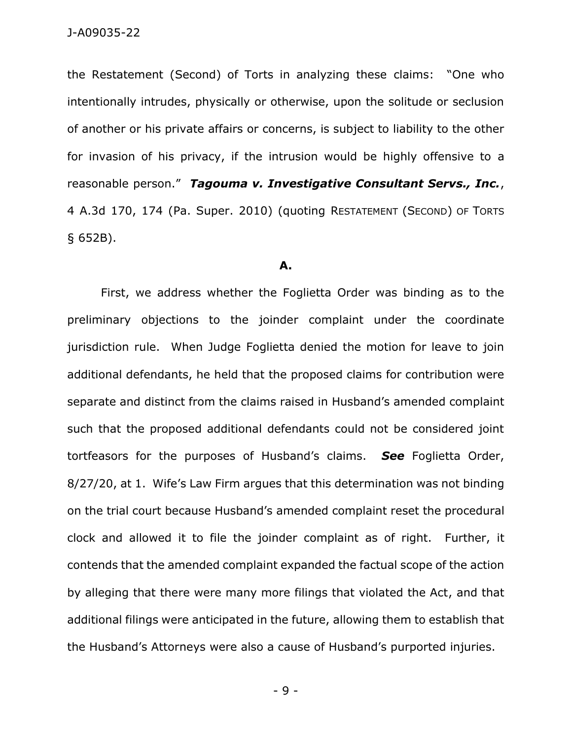the Restatement (Second) of Torts in analyzing these claims: "One who intentionally intrudes, physically or otherwise, upon the solitude or seclusion of another or his private affairs or concerns, is subject to liability to the other for invasion of his privacy, if the intrusion would be highly offensive to a reasonable person." *Tagouma v. Investigative Consultant Servs., Inc.*, 4 A.3d 170, 174 (Pa. Super. 2010) (quoting RESTATEMENT (SECOND) OF TORTS § 652B).

#### **A.**

First, we address whether the Foglietta Order was binding as to the preliminary objections to the joinder complaint under the coordinate jurisdiction rule. When Judge Foglietta denied the motion for leave to join additional defendants, he held that the proposed claims for contribution were separate and distinct from the claims raised in Husband's amended complaint such that the proposed additional defendants could not be considered joint tortfeasors for the purposes of Husband's claims. *See* Foglietta Order, 8/27/20, at 1. Wife's Law Firm argues that this determination was not binding on the trial court because Husband's amended complaint reset the procedural clock and allowed it to file the joinder complaint as of right. Further, it contends that the amended complaint expanded the factual scope of the action by alleging that there were many more filings that violated the Act, and that additional filings were anticipated in the future, allowing them to establish that the Husband's Attorneys were also a cause of Husband's purported injuries.

- 9 -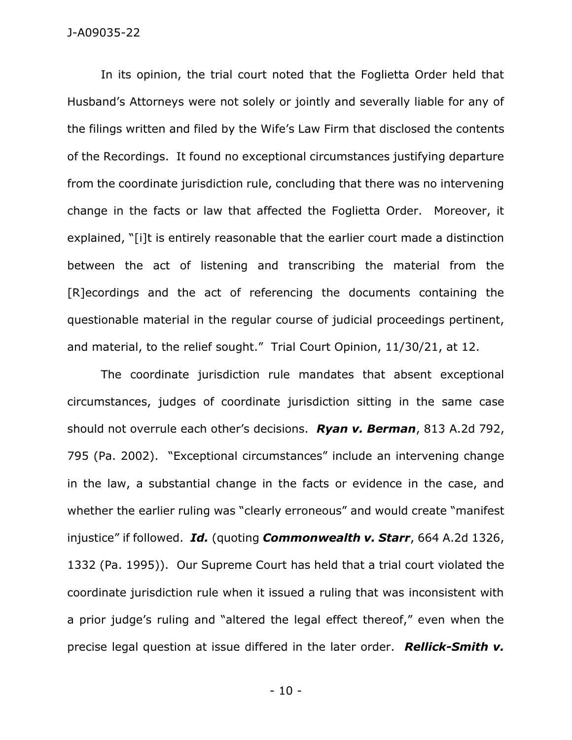In its opinion, the trial court noted that the Foglietta Order held that Husband's Attorneys were not solely or jointly and severally liable for any of the filings written and filed by the Wife's Law Firm that disclosed the contents of the Recordings. It found no exceptional circumstances justifying departure from the coordinate jurisdiction rule, concluding that there was no intervening change in the facts or law that affected the Foglietta Order. Moreover, it explained, "[i]t is entirely reasonable that the earlier court made a distinction between the act of listening and transcribing the material from the [R]ecordings and the act of referencing the documents containing the questionable material in the regular course of judicial proceedings pertinent, and material, to the relief sought." Trial Court Opinion, 11/30/21, at 12.

The coordinate jurisdiction rule mandates that absent exceptional circumstances, judges of coordinate jurisdiction sitting in the same case should not overrule each other's decisions. *Ryan v. Berman*, 813 A.2d 792, 795 (Pa. 2002). "Exceptional circumstances" include an intervening change in the law, a substantial change in the facts or evidence in the case, and whether the earlier ruling was "clearly erroneous" and would create "manifest injustice" if followed. *Id.* (quoting *Commonwealth v. Starr*, 664 A.2d 1326, 1332 (Pa. 1995)). Our Supreme Court has held that a trial court violated the coordinate jurisdiction rule when it issued a ruling that was inconsistent with a prior judge's ruling and "altered the legal effect thereof," even when the precise legal question at issue differed in the later order. *Rellick-Smith v.* 

- 10 -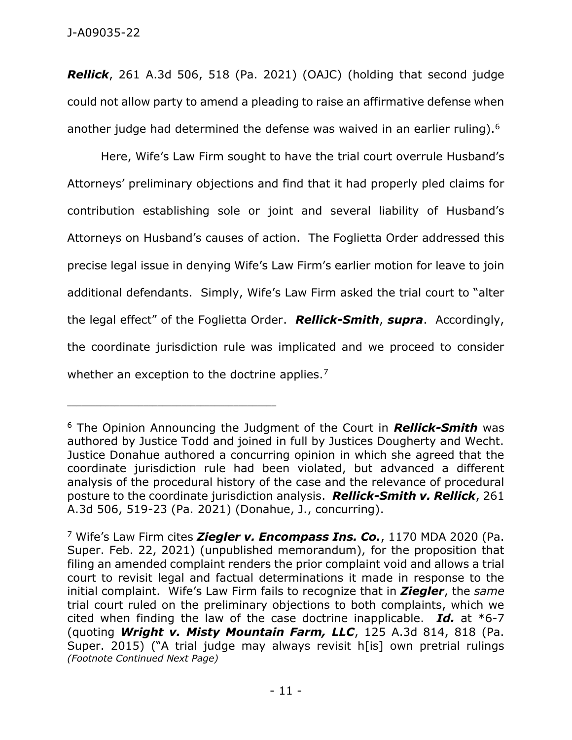*Rellick*, 261 A.3d 506, 518 (Pa. 2021) (OAJC) (holding that second judge could not allow party to amend a pleading to raise an affirmative defense when another judge had determined the defense was waived in an earlier ruling).<sup>6</sup>

Here, Wife's Law Firm sought to have the trial court overrule Husband's Attorneys' preliminary objections and find that it had properly pled claims for contribution establishing sole or joint and several liability of Husband's Attorneys on Husband's causes of action. The Foglietta Order addressed this precise legal issue in denying Wife's Law Firm's earlier motion for leave to join additional defendants. Simply, Wife's Law Firm asked the trial court to "alter the legal effect" of the Foglietta Order. *Rellick-Smith*, *supra*. Accordingly, the coordinate jurisdiction rule was implicated and we proceed to consider whether an exception to the doctrine applies.<sup>7</sup>

<sup>6</sup> The Opinion Announcing the Judgment of the Court in *Rellick-Smith* was authored by Justice Todd and joined in full by Justices Dougherty and Wecht. Justice Donahue authored a concurring opinion in which she agreed that the coordinate jurisdiction rule had been violated, but advanced a different analysis of the procedural history of the case and the relevance of procedural posture to the coordinate jurisdiction analysis. *Rellick-Smith v. Rellick*, 261 A.3d 506, 519-23 (Pa. 2021) (Donahue, J., concurring).

<sup>7</sup> Wife's Law Firm cites *Ziegler v. Encompass Ins. Co.*, 1170 MDA 2020 (Pa. Super. Feb. 22, 2021) (unpublished memorandum), for the proposition that filing an amended complaint renders the prior complaint void and allows a trial court to revisit legal and factual determinations it made in response to the initial complaint. Wife's Law Firm fails to recognize that in *Ziegler*, the *same* trial court ruled on the preliminary objections to both complaints, which we cited when finding the law of the case doctrine inapplicable. *Id.* at \*6-7 (quoting *Wright v. Misty Mountain Farm, LLC*, 125 A.3d 814, 818 (Pa. Super. 2015) ("A trial judge may always revisit h[is] own pretrial rulings *(Footnote Continued Next Page)*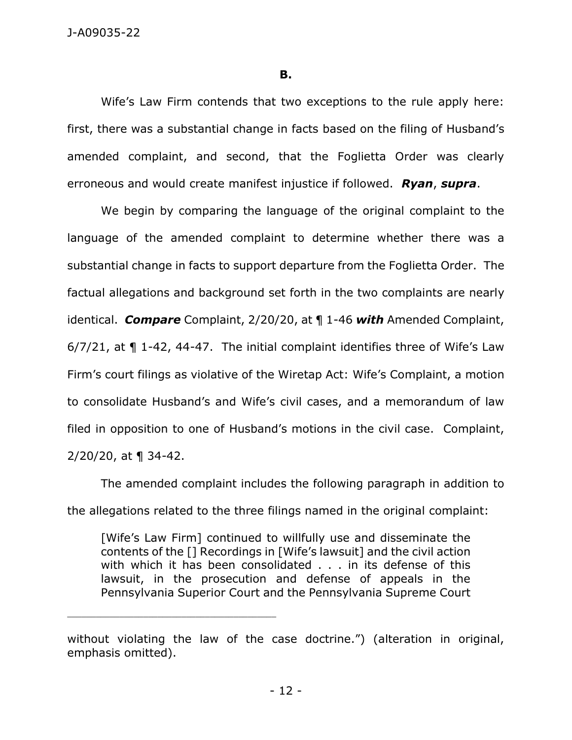### **B.**

Wife's Law Firm contends that two exceptions to the rule apply here: first, there was a substantial change in facts based on the filing of Husband's amended complaint, and second, that the Foglietta Order was clearly erroneous and would create manifest injustice if followed. *Ryan*, *supra*.

We begin by comparing the language of the original complaint to the language of the amended complaint to determine whether there was a substantial change in facts to support departure from the Foglietta Order. The factual allegations and background set forth in the two complaints are nearly identical. *Compare* Complaint, 2/20/20, at ¶ 1-46 *with* Amended Complaint, 6/7/21, at ¶ 1-42, 44-47. The initial complaint identifies three of Wife's Law Firm's court filings as violative of the Wiretap Act: Wife's Complaint, a motion to consolidate Husband's and Wife's civil cases, and a memorandum of law filed in opposition to one of Husband's motions in the civil case. Complaint, 2/20/20, at ¶ 34-42.

The amended complaint includes the following paragraph in addition to the allegations related to the three filings named in the original complaint:

[Wife's Law Firm] continued to willfully use and disseminate the contents of the [] Recordings in [Wife's lawsuit] and the civil action with which it has been consolidated . . . in its defense of this lawsuit, in the prosecution and defense of appeals in the Pennsylvania Superior Court and the Pennsylvania Supreme Court

without violating the law of the case doctrine.") (alteration in original, emphasis omitted).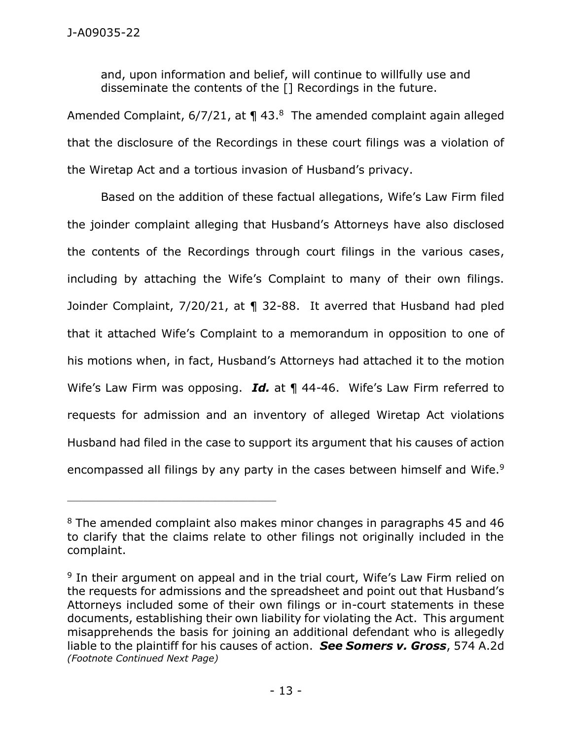and, upon information and belief, will continue to willfully use and disseminate the contents of the [] Recordings in the future.

Amended Complaint,  $6/7/21$ , at  $\P$  43. $8$  The amended complaint again alleged that the disclosure of the Recordings in these court filings was a violation of the Wiretap Act and a tortious invasion of Husband's privacy.

Based on the addition of these factual allegations, Wife's Law Firm filed the joinder complaint alleging that Husband's Attorneys have also disclosed the contents of the Recordings through court filings in the various cases, including by attaching the Wife's Complaint to many of their own filings. Joinder Complaint, 7/20/21, at ¶ 32-88. It averred that Husband had pled that it attached Wife's Complaint to a memorandum in opposition to one of his motions when, in fact, Husband's Attorneys had attached it to the motion Wife's Law Firm was opposing. *Id.* at ¶ 44-46. Wife's Law Firm referred to requests for admission and an inventory of alleged Wiretap Act violations Husband had filed in the case to support its argument that his causes of action encompassed all filings by any party in the cases between himself and Wife.<sup>9</sup>

<sup>8</sup> The amended complaint also makes minor changes in paragraphs 45 and 46 to clarify that the claims relate to other filings not originally included in the complaint.

<sup>&</sup>lt;sup>9</sup> In their argument on appeal and in the trial court, Wife's Law Firm relied on the requests for admissions and the spreadsheet and point out that Husband's Attorneys included some of their own filings or in-court statements in these documents, establishing their own liability for violating the Act. This argument misapprehends the basis for joining an additional defendant who is allegedly liable to the plaintiff for his causes of action. *See Somers v. Gross*, 574 A.2d *(Footnote Continued Next Page)*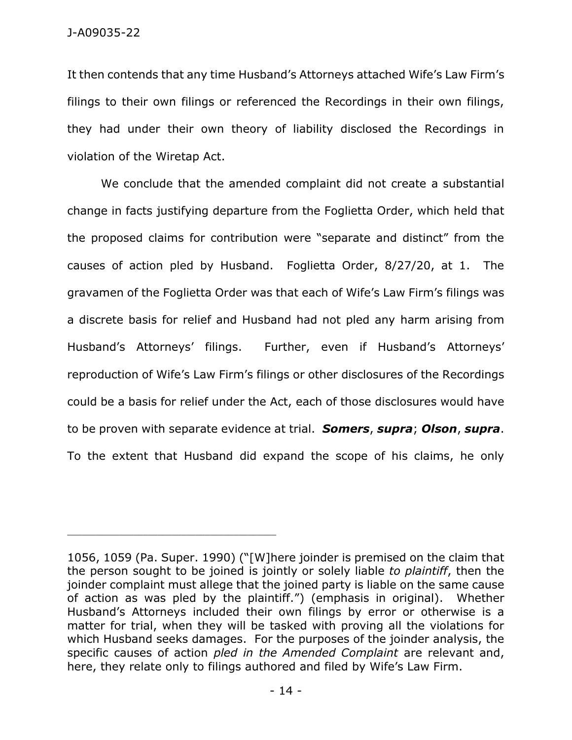It then contends that any time Husband's Attorneys attached Wife's Law Firm's filings to their own filings or referenced the Recordings in their own filings, they had under their own theory of liability disclosed the Recordings in violation of the Wiretap Act.

We conclude that the amended complaint did not create a substantial change in facts justifying departure from the Foglietta Order, which held that the proposed claims for contribution were "separate and distinct" from the causes of action pled by Husband. Foglietta Order, 8/27/20, at 1. The gravamen of the Foglietta Order was that each of Wife's Law Firm's filings was a discrete basis for relief and Husband had not pled any harm arising from Husband's Attorneys' filings. Further, even if Husband's Attorneys' reproduction of Wife's Law Firm's filings or other disclosures of the Recordings could be a basis for relief under the Act, each of those disclosures would have to be proven with separate evidence at trial. *Somers*, *supra*; *Olson*, *supra*. To the extent that Husband did expand the scope of his claims, he only

<sup>1056, 1059 (</sup>Pa. Super. 1990) ("[W]here joinder is premised on the claim that the person sought to be joined is jointly or solely liable *to plaintiff*, then the joinder complaint must allege that the joined party is liable on the same cause of action as was pled by the plaintiff.") (emphasis in original). Whether Husband's Attorneys included their own filings by error or otherwise is a matter for trial, when they will be tasked with proving all the violations for which Husband seeks damages. For the purposes of the joinder analysis, the specific causes of action *pled in the Amended Complaint* are relevant and, here, they relate only to filings authored and filed by Wife's Law Firm.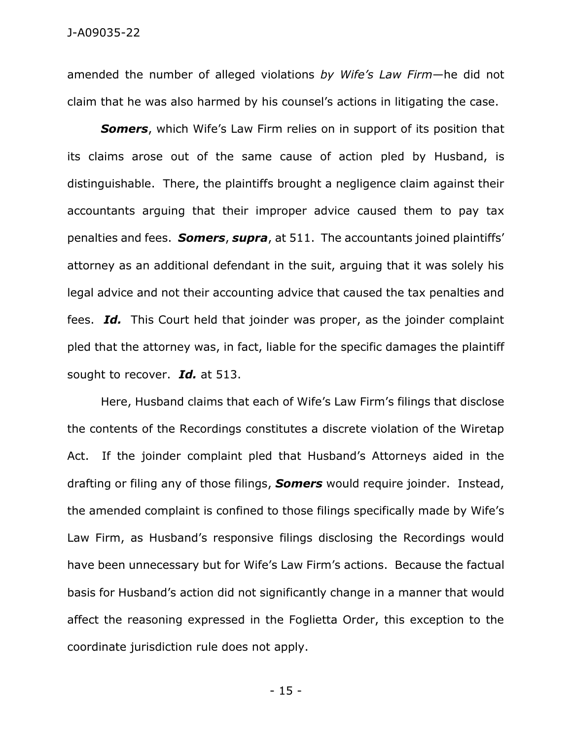amended the number of alleged violations *by Wife's Law Firm*—he did not claim that he was also harmed by his counsel's actions in litigating the case.

*Somers*, which Wife's Law Firm relies on in support of its position that its claims arose out of the same cause of action pled by Husband, is distinguishable. There, the plaintiffs brought a negligence claim against their accountants arguing that their improper advice caused them to pay tax penalties and fees. *Somers*, *supra*, at 511. The accountants joined plaintiffs' attorney as an additional defendant in the suit, arguing that it was solely his legal advice and not their accounting advice that caused the tax penalties and fees. *Id.* This Court held that joinder was proper, as the joinder complaint pled that the attorney was, in fact, liable for the specific damages the plaintiff sought to recover. *Id.* at 513.

Here, Husband claims that each of Wife's Law Firm's filings that disclose the contents of the Recordings constitutes a discrete violation of the Wiretap Act. If the joinder complaint pled that Husband's Attorneys aided in the drafting or filing any of those filings, *Somers* would require joinder. Instead, the amended complaint is confined to those filings specifically made by Wife's Law Firm, as Husband's responsive filings disclosing the Recordings would have been unnecessary but for Wife's Law Firm's actions. Because the factual basis for Husband's action did not significantly change in a manner that would affect the reasoning expressed in the Foglietta Order, this exception to the coordinate jurisdiction rule does not apply.

- 15 -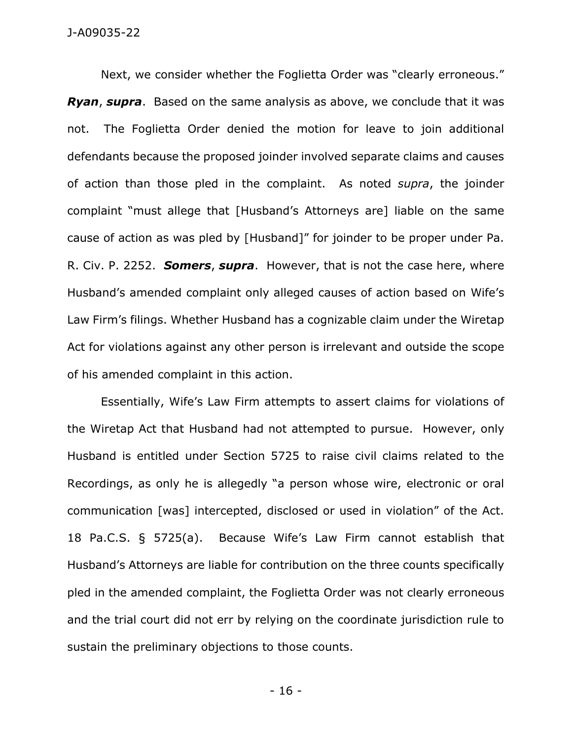Next, we consider whether the Foglietta Order was "clearly erroneous." *Ryan*, *supra*. Based on the same analysis as above, we conclude that it was not. The Foglietta Order denied the motion for leave to join additional defendants because the proposed joinder involved separate claims and causes of action than those pled in the complaint. As noted *supra*, the joinder complaint "must allege that [Husband's Attorneys are] liable on the same cause of action as was pled by [Husband]" for joinder to be proper under Pa. R. Civ. P. 2252. *Somers*, *supra*. However, that is not the case here, where Husband's amended complaint only alleged causes of action based on Wife's Law Firm's filings. Whether Husband has a cognizable claim under the Wiretap Act for violations against any other person is irrelevant and outside the scope of his amended complaint in this action.

Essentially, Wife's Law Firm attempts to assert claims for violations of the Wiretap Act that Husband had not attempted to pursue. However, only Husband is entitled under Section 5725 to raise civil claims related to the Recordings, as only he is allegedly "a person whose wire, electronic or oral communication [was] intercepted, disclosed or used in violation" of the Act. 18 Pa.C.S. § 5725(a). Because Wife's Law Firm cannot establish that Husband's Attorneys are liable for contribution on the three counts specifically pled in the amended complaint, the Foglietta Order was not clearly erroneous and the trial court did not err by relying on the coordinate jurisdiction rule to sustain the preliminary objections to those counts.

- 16 -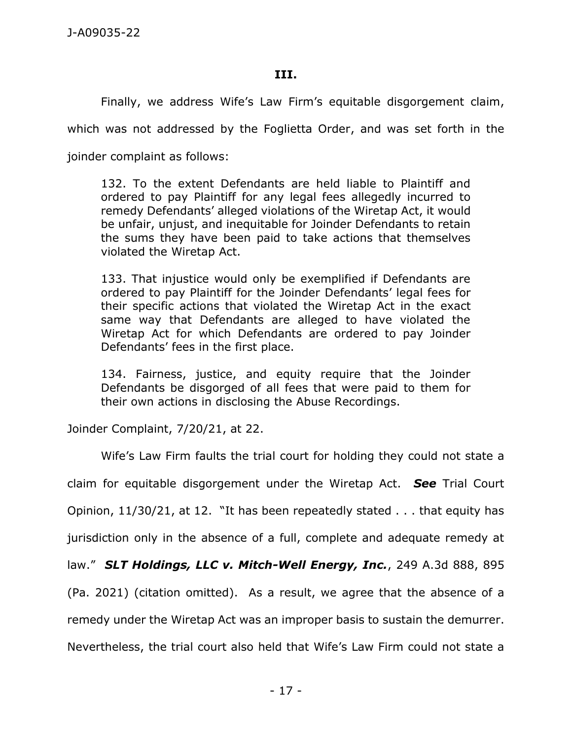### **III.**

Finally, we address Wife's Law Firm's equitable disgorgement claim,

which was not addressed by the Foglietta Order, and was set forth in the

joinder complaint as follows:

132. To the extent Defendants are held liable to Plaintiff and ordered to pay Plaintiff for any legal fees allegedly incurred to remedy Defendants' alleged violations of the Wiretap Act, it would be unfair, unjust, and inequitable for Joinder Defendants to retain the sums they have been paid to take actions that themselves violated the Wiretap Act.

133. That injustice would only be exemplified if Defendants are ordered to pay Plaintiff for the Joinder Defendants' legal fees for their specific actions that violated the Wiretap Act in the exact same way that Defendants are alleged to have violated the Wiretap Act for which Defendants are ordered to pay Joinder Defendants' fees in the first place.

134. Fairness, justice, and equity require that the Joinder Defendants be disgorged of all fees that were paid to them for their own actions in disclosing the Abuse Recordings.

Joinder Complaint, 7/20/21, at 22.

Wife's Law Firm faults the trial court for holding they could not state a claim for equitable disgorgement under the Wiretap Act. *See* Trial Court Opinion, 11/30/21, at 12. "It has been repeatedly stated . . . that equity has jurisdiction only in the absence of a full, complete and adequate remedy at law." *SLT Holdings, LLC v. Mitch-Well Energy, Inc.*, 249 A.3d 888, 895 (Pa. 2021) (citation omitted). As a result, we agree that the absence of a remedy under the Wiretap Act was an improper basis to sustain the demurrer. Nevertheless, the trial court also held that Wife's Law Firm could not state a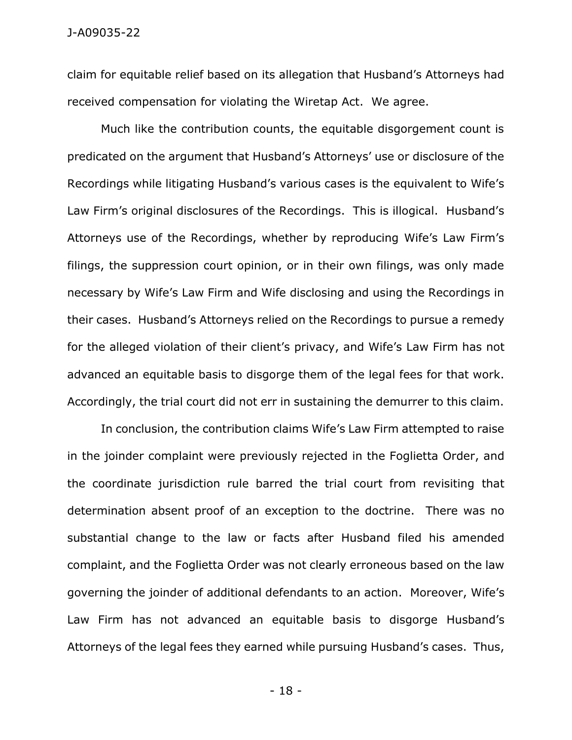claim for equitable relief based on its allegation that Husband's Attorneys had received compensation for violating the Wiretap Act. We agree.

Much like the contribution counts, the equitable disgorgement count is predicated on the argument that Husband's Attorneys' use or disclosure of the Recordings while litigating Husband's various cases is the equivalent to Wife's Law Firm's original disclosures of the Recordings. This is illogical. Husband's Attorneys use of the Recordings, whether by reproducing Wife's Law Firm's filings, the suppression court opinion, or in their own filings, was only made necessary by Wife's Law Firm and Wife disclosing and using the Recordings in their cases. Husband's Attorneys relied on the Recordings to pursue a remedy for the alleged violation of their client's privacy, and Wife's Law Firm has not advanced an equitable basis to disgorge them of the legal fees for that work. Accordingly, the trial court did not err in sustaining the demurrer to this claim.

In conclusion, the contribution claims Wife's Law Firm attempted to raise in the joinder complaint were previously rejected in the Foglietta Order, and the coordinate jurisdiction rule barred the trial court from revisiting that determination absent proof of an exception to the doctrine. There was no substantial change to the law or facts after Husband filed his amended complaint, and the Foglietta Order was not clearly erroneous based on the law governing the joinder of additional defendants to an action. Moreover, Wife's Law Firm has not advanced an equitable basis to disgorge Husband's Attorneys of the legal fees they earned while pursuing Husband's cases. Thus,

- 18 -